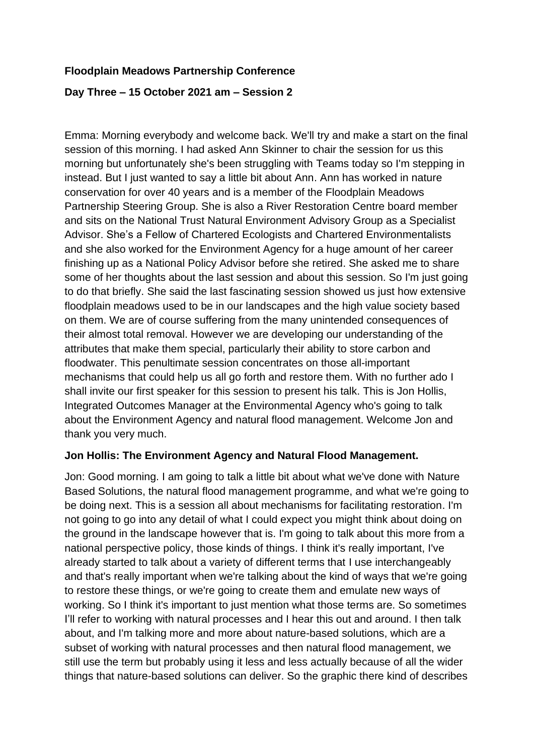### **Floodplain Meadows Partnership Conference**

#### **Day Three – 15 October 2021 am – Session 2**

Emma: Morning everybody and welcome back. We'll try and make a start on the final session of this morning. I had asked Ann Skinner to chair the session for us this morning but unfortunately she's been struggling with Teams today so I'm stepping in instead. But I just wanted to say a little bit about Ann. Ann has worked in nature conservation for over 40 years and is a member of the Floodplain Meadows Partnership Steering Group. She is also a River Restoration Centre board member and sits on the National Trust Natural Environment Advisory Group as a Specialist Advisor. She's a Fellow of Chartered Ecologists and Chartered Environmentalists and she also worked for the Environment Agency for a huge amount of her career finishing up as a National Policy Advisor before she retired. She asked me to share some of her thoughts about the last session and about this session. So I'm just going to do that briefly. She said the last fascinating session showed us just how extensive floodplain meadows used to be in our landscapes and the high value society based on them. We are of course suffering from the many unintended consequences of their almost total removal. However we are developing our understanding of the attributes that make them special, particularly their ability to store carbon and floodwater. This penultimate session concentrates on those all-important mechanisms that could help us all go forth and restore them. With no further ado I shall invite our first speaker for this session to present his talk. This is Jon Hollis, Integrated Outcomes Manager at the Environmental Agency who's going to talk about the Environment Agency and natural flood management. Welcome Jon and thank you very much.

#### **Jon Hollis: The Environment Agency and Natural Flood Management.**

Jon: Good morning. I am going to talk a little bit about what we've done with Nature Based Solutions, the natural flood management programme, and what we're going to be doing next. This is a session all about mechanisms for facilitating restoration. I'm not going to go into any detail of what I could expect you might think about doing on the ground in the landscape however that is. I'm going to talk about this more from a national perspective policy, those kinds of things. I think it's really important, I've already started to talk about a variety of different terms that I use interchangeably and that's really important when we're talking about the kind of ways that we're going to restore these things, or we're going to create them and emulate new ways of working. So I think it's important to just mention what those terms are. So sometimes I'll refer to working with natural processes and I hear this out and around. I then talk about, and I'm talking more and more about nature-based solutions, which are a subset of working with natural processes and then natural flood management, we still use the term but probably using it less and less actually because of all the wider things that nature-based solutions can deliver. So the graphic there kind of describes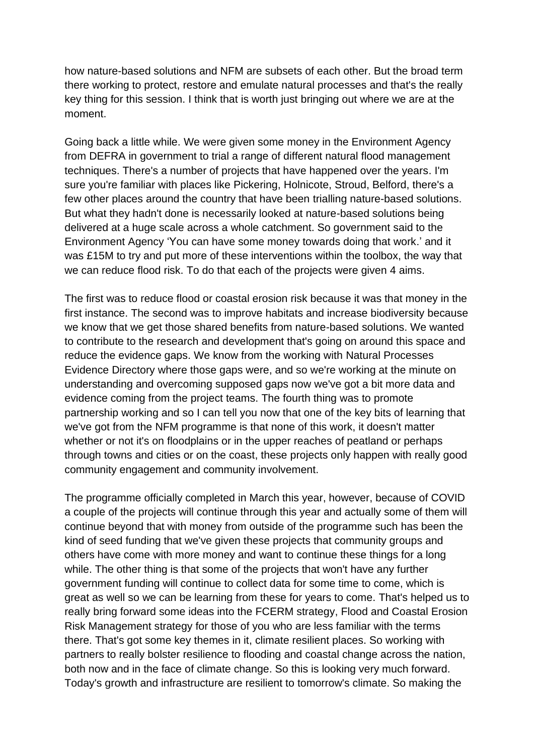how nature-based solutions and NFM are subsets of each other. But the broad term there working to protect, restore and emulate natural processes and that's the really key thing for this session. I think that is worth just bringing out where we are at the moment.

Going back a little while. We were given some money in the Environment Agency from DEFRA in government to trial a range of different natural flood management techniques. There's a number of projects that have happened over the years. I'm sure you're familiar with places like Pickering, Holnicote, Stroud, Belford, there's a few other places around the country that have been trialling nature-based solutions. But what they hadn't done is necessarily looked at nature-based solutions being delivered at a huge scale across a whole catchment. So government said to the Environment Agency 'You can have some money towards doing that work.' and it was £15M to try and put more of these interventions within the toolbox, the way that we can reduce flood risk. To do that each of the projects were given 4 aims.

The first was to reduce flood or coastal erosion risk because it was that money in the first instance. The second was to improve habitats and increase biodiversity because we know that we get those shared benefits from nature-based solutions. We wanted to contribute to the research and development that's going on around this space and reduce the evidence gaps. We know from the working with Natural Processes Evidence Directory where those gaps were, and so we're working at the minute on understanding and overcoming supposed gaps now we've got a bit more data and evidence coming from the project teams. The fourth thing was to promote partnership working and so I can tell you now that one of the key bits of learning that we've got from the NFM programme is that none of this work, it doesn't matter whether or not it's on floodplains or in the upper reaches of peatland or perhaps through towns and cities or on the coast, these projects only happen with really good community engagement and community involvement.

The programme officially completed in March this year, however, because of COVID a couple of the projects will continue through this year and actually some of them will continue beyond that with money from outside of the programme such has been the kind of seed funding that we've given these projects that community groups and others have come with more money and want to continue these things for a long while. The other thing is that some of the projects that won't have any further government funding will continue to collect data for some time to come, which is great as well so we can be learning from these for years to come. That's helped us to really bring forward some ideas into the FCERM strategy, Flood and Coastal Erosion Risk Management strategy for those of you who are less familiar with the terms there. That's got some key themes in it, climate resilient places. So working with partners to really bolster resilience to flooding and coastal change across the nation, both now and in the face of climate change. So this is looking very much forward. Today's growth and infrastructure are resilient to tomorrow's climate. So making the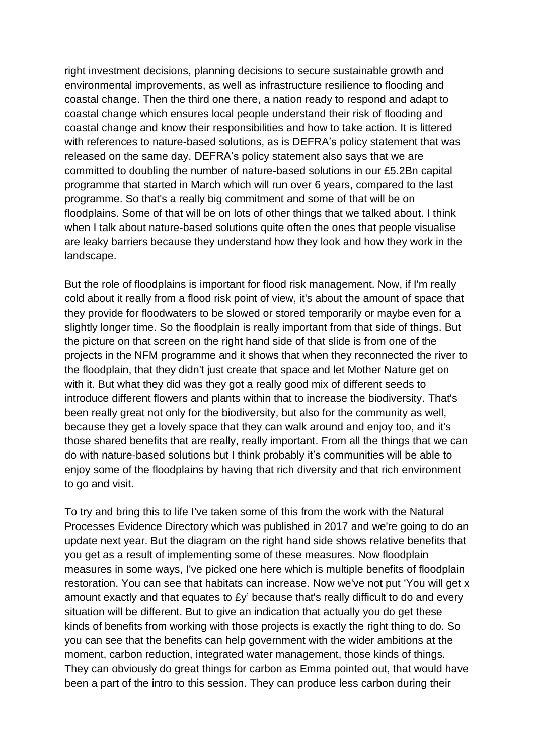right investment decisions, planning decisions to secure sustainable growth and environmental improvements, as well as infrastructure resilience to flooding and coastal change. Then the third one there, a nation ready to respond and adapt to coastal change which ensures local people understand their risk of flooding and coastal change and know their responsibilities and how to take action. It is littered with references to nature-based solutions, as is DEFRA's policy statement that was released on the same day. DEFRA's policy statement also says that we are committed to doubling the number of nature-based solutions in our £5.2Bn capital programme that started in March which will run over 6 years, compared to the last programme. So that's a really big commitment and some of that will be on floodplains. Some of that will be on lots of other things that we talked about. I think when I talk about nature-based solutions quite often the ones that people visualise are leaky barriers because they understand how they look and how they work in the landscape.

But the role of floodplains is important for flood risk management. Now, if I'm really cold about it really from a flood risk point of view, it's about the amount of space that they provide for floodwaters to be slowed or stored temporarily or maybe even for a slightly longer time. So the floodplain is really important from that side of things. But the picture on that screen on the right hand side of that slide is from one of the projects in the NFM programme and it shows that when they reconnected the river to the floodplain, that they didn't just create that space and let Mother Nature get on with it. But what they did was they got a really good mix of different seeds to introduce different flowers and plants within that to increase the biodiversity. That's been really great not only for the biodiversity, but also for the community as well, because they get a lovely space that they can walk around and enjoy too, and it's those shared benefits that are really, really important. From all the things that we can do with nature-based solutions but I think probably it's communities will be able to enjoy some of the floodplains by having that rich diversity and that rich environment to go and visit.

To try and bring this to life I've taken some of this from the work with the Natural Processes Evidence Directory which was published in 2017 and we're going to do an update next year. But the diagram on the right hand side shows relative benefits that you get as a result of implementing some of these measures. Now floodplain measures in some ways, I've picked one here which is multiple benefits of floodplain restoration. You can see that habitats can increase. Now we've not put 'You will get x amount exactly and that equates to £y' because that's really difficult to do and every situation will be different. But to give an indication that actually you do get these kinds of benefits from working with those projects is exactly the right thing to do. So you can see that the benefits can help government with the wider ambitions at the moment, carbon reduction, integrated water management, those kinds of things. They can obviously do great things for carbon as Emma pointed out, that would have been a part of the intro to this session. They can produce less carbon during their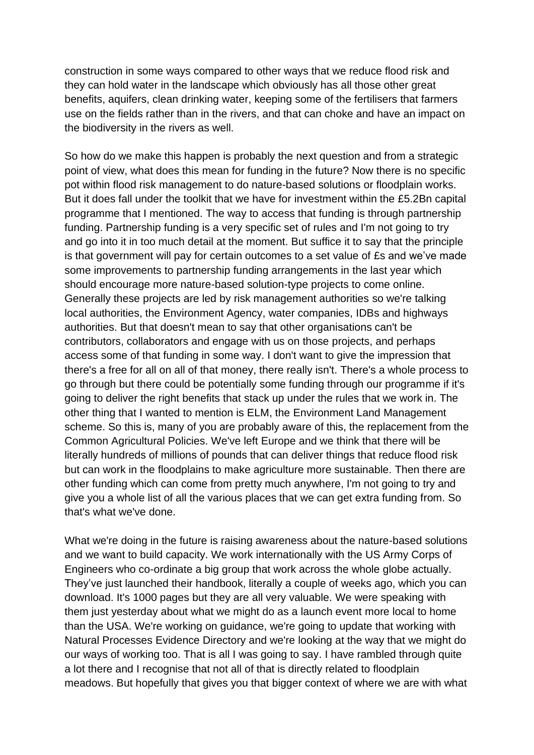construction in some ways compared to other ways that we reduce flood risk and they can hold water in the landscape which obviously has all those other great benefits, aquifers, clean drinking water, keeping some of the fertilisers that farmers use on the fields rather than in the rivers, and that can choke and have an impact on the biodiversity in the rivers as well.

So how do we make this happen is probably the next question and from a strategic point of view, what does this mean for funding in the future? Now there is no specific pot within flood risk management to do nature-based solutions or floodplain works. But it does fall under the toolkit that we have for investment within the £5.2Bn capital programme that I mentioned. The way to access that funding is through partnership funding. Partnership funding is a very specific set of rules and I'm not going to try and go into it in too much detail at the moment. But suffice it to say that the principle is that government will pay for certain outcomes to a set value of £s and we've made some improvements to partnership funding arrangements in the last year which should encourage more nature-based solution-type projects to come online. Generally these projects are led by risk management authorities so we're talking local authorities, the Environment Agency, water companies, IDBs and highways authorities. But that doesn't mean to say that other organisations can't be contributors, collaborators and engage with us on those projects, and perhaps access some of that funding in some way. I don't want to give the impression that there's a free for all on all of that money, there really isn't. There's a whole process to go through but there could be potentially some funding through our programme if it's going to deliver the right benefits that stack up under the rules that we work in. The other thing that I wanted to mention is ELM, the Environment Land Management scheme. So this is, many of you are probably aware of this, the replacement from the Common Agricultural Policies. We've left Europe and we think that there will be literally hundreds of millions of pounds that can deliver things that reduce flood risk but can work in the floodplains to make agriculture more sustainable. Then there are other funding which can come from pretty much anywhere, I'm not going to try and give you a whole list of all the various places that we can get extra funding from. So that's what we've done.

What we're doing in the future is raising awareness about the nature-based solutions and we want to build capacity. We work internationally with the US Army Corps of Engineers who co-ordinate a big group that work across the whole globe actually. They've just launched their handbook, literally a couple of weeks ago, which you can download. It's 1000 pages but they are all very valuable. We were speaking with them just yesterday about what we might do as a launch event more local to home than the USA. We're working on guidance, we're going to update that working with Natural Processes Evidence Directory and we're looking at the way that we might do our ways of working too. That is all I was going to say. I have rambled through quite a lot there and I recognise that not all of that is directly related to floodplain meadows. But hopefully that gives you that bigger context of where we are with what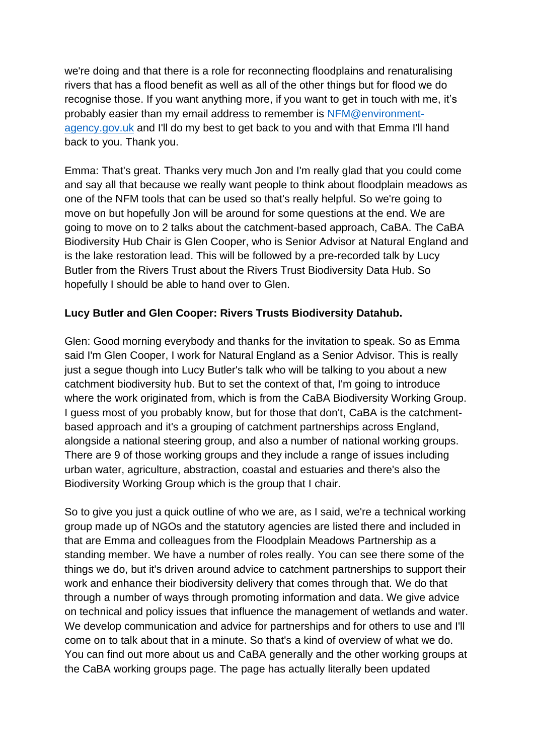we're doing and that there is a role for reconnecting floodplains and renaturalising rivers that has a flood benefit as well as all of the other things but for flood we do recognise those. If you want anything more, if you want to get in touch with me, it's probably easier than my email address to remember is [NFM@environment](mailto:NFM@environment-agency.gov.uk)[agency.gov.uk](mailto:NFM@environment-agency.gov.uk) and I'll do my best to get back to you and with that Emma I'll hand back to you. Thank you.

Emma: That's great. Thanks very much Jon and I'm really glad that you could come and say all that because we really want people to think about floodplain meadows as one of the NFM tools that can be used so that's really helpful. So we're going to move on but hopefully Jon will be around for some questions at the end. We are going to move on to 2 talks about the catchment-based approach, CaBA. The CaBA Biodiversity Hub Chair is Glen Cooper, who is Senior Advisor at Natural England and is the lake restoration lead. This will be followed by a pre-recorded talk by Lucy Butler from the Rivers Trust about the Rivers Trust Biodiversity Data Hub. So hopefully I should be able to hand over to Glen.

# **Lucy Butler and Glen Cooper: Rivers Trusts Biodiversity Datahub.**

Glen: Good morning everybody and thanks for the invitation to speak. So as Emma said I'm Glen Cooper, I work for Natural England as a Senior Advisor. This is really just a segue though into Lucy Butler's talk who will be talking to you about a new catchment biodiversity hub. But to set the context of that, I'm going to introduce where the work originated from, which is from the CaBA Biodiversity Working Group. I guess most of you probably know, but for those that don't, CaBA is the catchmentbased approach and it's a grouping of catchment partnerships across England, alongside a national steering group, and also a number of national working groups. There are 9 of those working groups and they include a range of issues including urban water, agriculture, abstraction, coastal and estuaries and there's also the Biodiversity Working Group which is the group that I chair.

So to give you just a quick outline of who we are, as I said, we're a technical working group made up of NGOs and the statutory agencies are listed there and included in that are Emma and colleagues from the Floodplain Meadows Partnership as a standing member. We have a number of roles really. You can see there some of the things we do, but it's driven around advice to catchment partnerships to support their work and enhance their biodiversity delivery that comes through that. We do that through a number of ways through promoting information and data. We give advice on technical and policy issues that influence the management of wetlands and water. We develop communication and advice for partnerships and for others to use and I'll come on to talk about that in a minute. So that's a kind of overview of what we do. You can find out more about us and CaBA generally and the other working groups at the CaBA working groups page. The page has actually literally been updated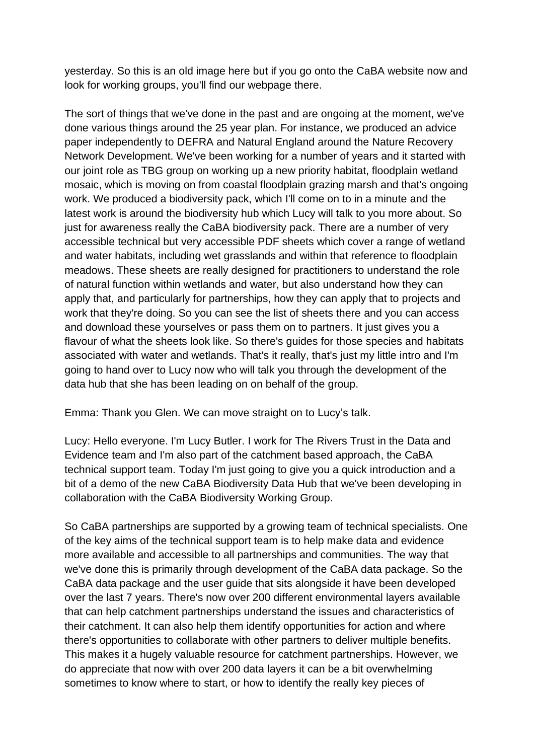yesterday. So this is an old image here but if you go onto the CaBA website now and look for working groups, you'll find our webpage there.

The sort of things that we've done in the past and are ongoing at the moment, we've done various things around the 25 year plan. For instance, we produced an advice paper independently to DEFRA and Natural England around the Nature Recovery Network Development. We've been working for a number of years and it started with our joint role as TBG group on working up a new priority habitat, floodplain wetland mosaic, which is moving on from coastal floodplain grazing marsh and that's ongoing work. We produced a biodiversity pack, which I'll come on to in a minute and the latest work is around the biodiversity hub which Lucy will talk to you more about. So just for awareness really the CaBA biodiversity pack. There are a number of very accessible technical but very accessible PDF sheets which cover a range of wetland and water habitats, including wet grasslands and within that reference to floodplain meadows. These sheets are really designed for practitioners to understand the role of natural function within wetlands and water, but also understand how they can apply that, and particularly for partnerships, how they can apply that to projects and work that they're doing. So you can see the list of sheets there and you can access and download these yourselves or pass them on to partners. It just gives you a flavour of what the sheets look like. So there's guides for those species and habitats associated with water and wetlands. That's it really, that's just my little intro and I'm going to hand over to Lucy now who will talk you through the development of the data hub that she has been leading on on behalf of the group.

Emma: Thank you Glen. We can move straight on to Lucy's talk.

Lucy: Hello everyone. I'm Lucy Butler. I work for The Rivers Trust in the Data and Evidence team and I'm also part of the catchment based approach, the CaBA technical support team. Today I'm just going to give you a quick introduction and a bit of a demo of the new CaBA Biodiversity Data Hub that we've been developing in collaboration with the CaBA Biodiversity Working Group.

So CaBA partnerships are supported by a growing team of technical specialists. One of the key aims of the technical support team is to help make data and evidence more available and accessible to all partnerships and communities. The way that we've done this is primarily through development of the CaBA data package. So the CaBA data package and the user guide that sits alongside it have been developed over the last 7 years. There's now over 200 different environmental layers available that can help catchment partnerships understand the issues and characteristics of their catchment. It can also help them identify opportunities for action and where there's opportunities to collaborate with other partners to deliver multiple benefits. This makes it a hugely valuable resource for catchment partnerships. However, we do appreciate that now with over 200 data layers it can be a bit overwhelming sometimes to know where to start, or how to identify the really key pieces of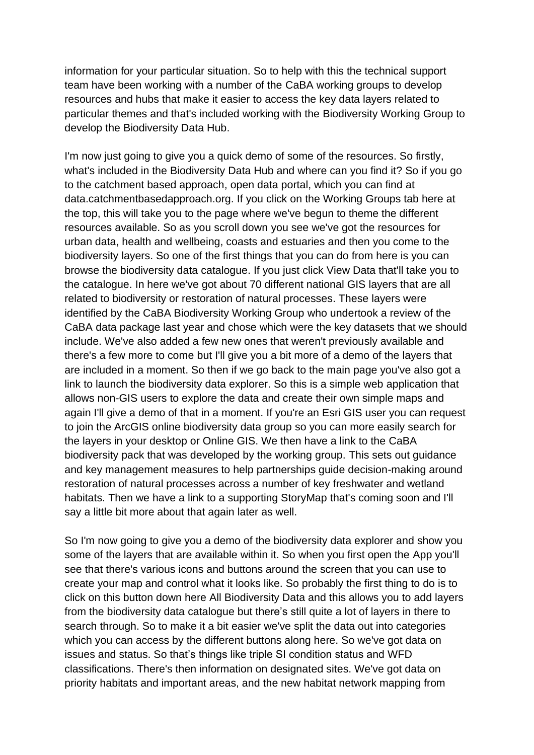information for your particular situation. So to help with this the technical support team have been working with a number of the CaBA working groups to develop resources and hubs that make it easier to access the key data layers related to particular themes and that's included working with the Biodiversity Working Group to develop the Biodiversity Data Hub.

I'm now just going to give you a quick demo of some of the resources. So firstly, what's included in the Biodiversity Data Hub and where can you find it? So if you go to the catchment based approach, open data portal, which you can find at data.catchmentbasedapproach.org. If you click on the Working Groups tab here at the top, this will take you to the page where we've begun to theme the different resources available. So as you scroll down you see we've got the resources for urban data, health and wellbeing, coasts and estuaries and then you come to the biodiversity layers. So one of the first things that you can do from here is you can browse the biodiversity data catalogue. If you just click View Data that'll take you to the catalogue. In here we've got about 70 different national GIS layers that are all related to biodiversity or restoration of natural processes. These layers were identified by the CaBA Biodiversity Working Group who undertook a review of the CaBA data package last year and chose which were the key datasets that we should include. We've also added a few new ones that weren't previously available and there's a few more to come but I'll give you a bit more of a demo of the layers that are included in a moment. So then if we go back to the main page you've also got a link to launch the biodiversity data explorer. So this is a simple web application that allows non-GIS users to explore the data and create their own simple maps and again I'll give a demo of that in a moment. If you're an Esri GIS user you can request to join the ArcGIS online biodiversity data group so you can more easily search for the layers in your desktop or Online GIS. We then have a link to the CaBA biodiversity pack that was developed by the working group. This sets out guidance and key management measures to help partnerships guide decision-making around restoration of natural processes across a number of key freshwater and wetland habitats. Then we have a link to a supporting StoryMap that's coming soon and I'll say a little bit more about that again later as well.

So I'm now going to give you a demo of the biodiversity data explorer and show you some of the layers that are available within it. So when you first open the App you'll see that there's various icons and buttons around the screen that you can use to create your map and control what it looks like. So probably the first thing to do is to click on this button down here All Biodiversity Data and this allows you to add layers from the biodiversity data catalogue but there's still quite a lot of layers in there to search through. So to make it a bit easier we've split the data out into categories which you can access by the different buttons along here. So we've got data on issues and status. So that's things like triple SI condition status and WFD classifications. There's then information on designated sites. We've got data on priority habitats and important areas, and the new habitat network mapping from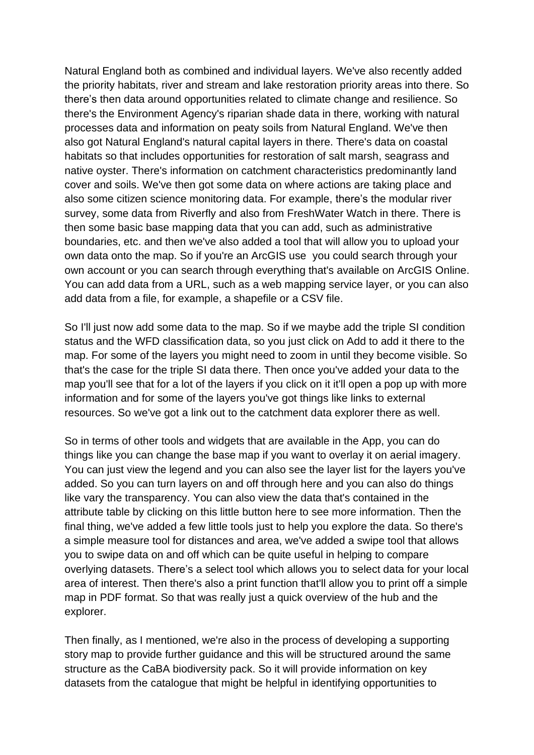Natural England both as combined and individual layers. We've also recently added the priority habitats, river and stream and lake restoration priority areas into there. So there's then data around opportunities related to climate change and resilience. So there's the Environment Agency's riparian shade data in there, working with natural processes data and information on peaty soils from Natural England. We've then also got Natural England's natural capital layers in there. There's data on coastal habitats so that includes opportunities for restoration of salt marsh, seagrass and native oyster. There's information on catchment characteristics predominantly land cover and soils. We've then got some data on where actions are taking place and also some citizen science monitoring data. For example, there's the modular river survey, some data from Riverfly and also from FreshWater Watch in there. There is then some basic base mapping data that you can add, such as administrative boundaries, etc. and then we've also added a tool that will allow you to upload your own data onto the map. So if you're an ArcGIS use you could search through your own account or you can search through everything that's available on ArcGIS Online. You can add data from a URL, such as a web mapping service layer, or you can also add data from a file, for example, a shapefile or a CSV file.

So I'll just now add some data to the map. So if we maybe add the triple SI condition status and the WFD classification data, so you just click on Add to add it there to the map. For some of the layers you might need to zoom in until they become visible. So that's the case for the triple SI data there. Then once you've added your data to the map you'll see that for a lot of the layers if you click on it it'll open a pop up with more information and for some of the layers you've got things like links to external resources. So we've got a link out to the catchment data explorer there as well.

So in terms of other tools and widgets that are available in the App, you can do things like you can change the base map if you want to overlay it on aerial imagery. You can just view the legend and you can also see the layer list for the layers you've added. So you can turn layers on and off through here and you can also do things like vary the transparency. You can also view the data that's contained in the attribute table by clicking on this little button here to see more information. Then the final thing, we've added a few little tools just to help you explore the data. So there's a simple measure tool for distances and area, we've added a swipe tool that allows you to swipe data on and off which can be quite useful in helping to compare overlying datasets. There's a select tool which allows you to select data for your local area of interest. Then there's also a print function that'll allow you to print off a simple map in PDF format. So that was really just a quick overview of the hub and the explorer.

Then finally, as I mentioned, we're also in the process of developing a supporting story map to provide further guidance and this will be structured around the same structure as the CaBA biodiversity pack. So it will provide information on key datasets from the catalogue that might be helpful in identifying opportunities to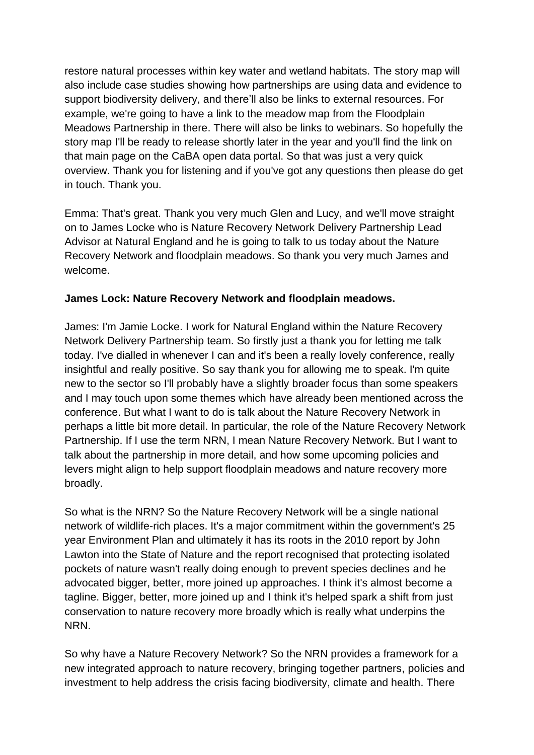restore natural processes within key water and wetland habitats. The story map will also include case studies showing how partnerships are using data and evidence to support biodiversity delivery, and there'll also be links to external resources. For example, we're going to have a link to the meadow map from the Floodplain Meadows Partnership in there. There will also be links to webinars. So hopefully the story map I'll be ready to release shortly later in the year and you'll find the link on that main page on the CaBA open data portal. So that was just a very quick overview. Thank you for listening and if you've got any questions then please do get in touch. Thank you.

Emma: That's great. Thank you very much Glen and Lucy, and we'll move straight on to James Locke who is Nature Recovery Network Delivery Partnership Lead Advisor at Natural England and he is going to talk to us today about the Nature Recovery Network and floodplain meadows. So thank you very much James and welcome.

# **James Lock: Nature Recovery Network and floodplain meadows.**

James: I'm Jamie Locke. I work for Natural England within the Nature Recovery Network Delivery Partnership team. So firstly just a thank you for letting me talk today. I've dialled in whenever I can and it's been a really lovely conference, really insightful and really positive. So say thank you for allowing me to speak. I'm quite new to the sector so I'll probably have a slightly broader focus than some speakers and I may touch upon some themes which have already been mentioned across the conference. But what I want to do is talk about the Nature Recovery Network in perhaps a little bit more detail. In particular, the role of the Nature Recovery Network Partnership. If I use the term NRN, I mean Nature Recovery Network. But I want to talk about the partnership in more detail, and how some upcoming policies and levers might align to help support floodplain meadows and nature recovery more broadly.

So what is the NRN? So the Nature Recovery Network will be a single national network of wildlife-rich places. It's a major commitment within the government's 25 year Environment Plan and ultimately it has its roots in the 2010 report by John Lawton into the State of Nature and the report recognised that protecting isolated pockets of nature wasn't really doing enough to prevent species declines and he advocated bigger, better, more joined up approaches. I think it's almost become a tagline. Bigger, better, more joined up and I think it's helped spark a shift from just conservation to nature recovery more broadly which is really what underpins the NRN.

So why have a Nature Recovery Network? So the NRN provides a framework for a new integrated approach to nature recovery, bringing together partners, policies and investment to help address the crisis facing biodiversity, climate and health. There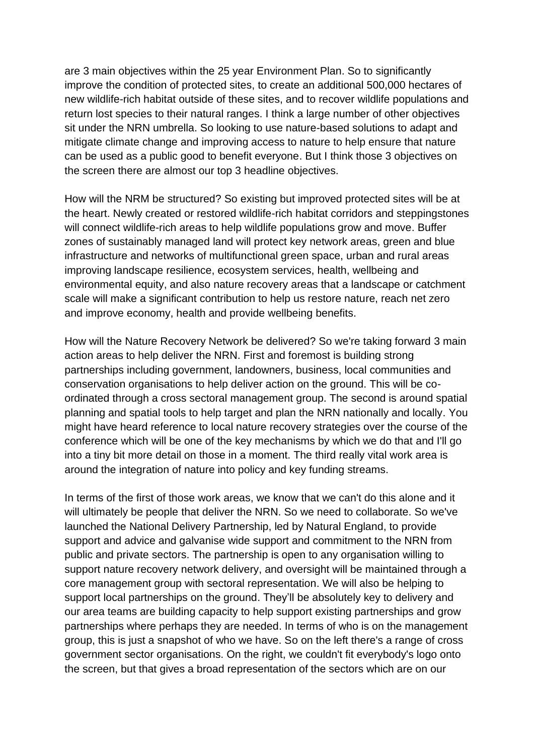are 3 main objectives within the 25 year Environment Plan. So to significantly improve the condition of protected sites, to create an additional 500,000 hectares of new wildlife-rich habitat outside of these sites, and to recover wildlife populations and return lost species to their natural ranges. I think a large number of other objectives sit under the NRN umbrella. So looking to use nature-based solutions to adapt and mitigate climate change and improving access to nature to help ensure that nature can be used as a public good to benefit everyone. But I think those 3 objectives on the screen there are almost our top 3 headline objectives.

How will the NRM be structured? So existing but improved protected sites will be at the heart. Newly created or restored wildlife-rich habitat corridors and steppingstones will connect wildlife-rich areas to help wildlife populations grow and move. Buffer zones of sustainably managed land will protect key network areas, green and blue infrastructure and networks of multifunctional green space, urban and rural areas improving landscape resilience, ecosystem services, health, wellbeing and environmental equity, and also nature recovery areas that a landscape or catchment scale will make a significant contribution to help us restore nature, reach net zero and improve economy, health and provide wellbeing benefits.

How will the Nature Recovery Network be delivered? So we're taking forward 3 main action areas to help deliver the NRN. First and foremost is building strong partnerships including government, landowners, business, local communities and conservation organisations to help deliver action on the ground. This will be coordinated through a cross sectoral management group. The second is around spatial planning and spatial tools to help target and plan the NRN nationally and locally. You might have heard reference to local nature recovery strategies over the course of the conference which will be one of the key mechanisms by which we do that and I'll go into a tiny bit more detail on those in a moment. The third really vital work area is around the integration of nature into policy and key funding streams.

In terms of the first of those work areas, we know that we can't do this alone and it will ultimately be people that deliver the NRN. So we need to collaborate. So we've launched the National Delivery Partnership, led by Natural England, to provide support and advice and galvanise wide support and commitment to the NRN from public and private sectors. The partnership is open to any organisation willing to support nature recovery network delivery, and oversight will be maintained through a core management group with sectoral representation. We will also be helping to support local partnerships on the ground. They'll be absolutely key to delivery and our area teams are building capacity to help support existing partnerships and grow partnerships where perhaps they are needed. In terms of who is on the management group, this is just a snapshot of who we have. So on the left there's a range of cross government sector organisations. On the right, we couldn't fit everybody's logo onto the screen, but that gives a broad representation of the sectors which are on our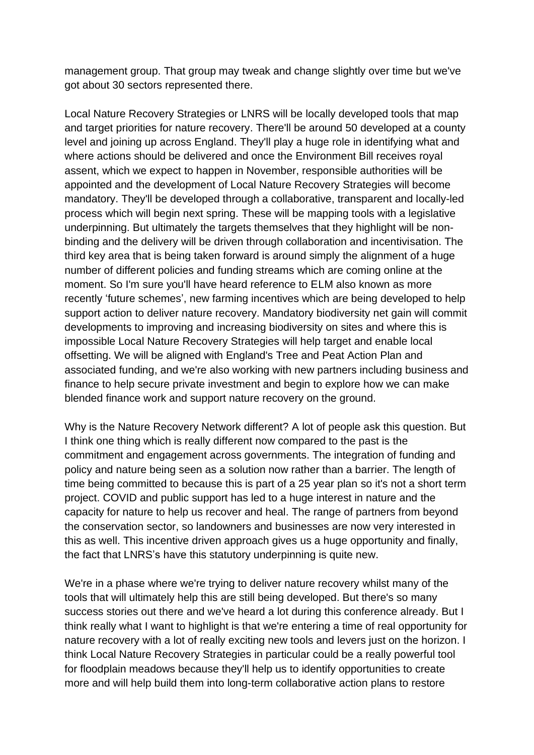management group. That group may tweak and change slightly over time but we've got about 30 sectors represented there.

Local Nature Recovery Strategies or LNRS will be locally developed tools that map and target priorities for nature recovery. There'll be around 50 developed at a county level and joining up across England. They'll play a huge role in identifying what and where actions should be delivered and once the Environment Bill receives royal assent, which we expect to happen in November, responsible authorities will be appointed and the development of Local Nature Recovery Strategies will become mandatory. They'll be developed through a collaborative, transparent and locally-led process which will begin next spring. These will be mapping tools with a legislative underpinning. But ultimately the targets themselves that they highlight will be nonbinding and the delivery will be driven through collaboration and incentivisation. The third key area that is being taken forward is around simply the alignment of a huge number of different policies and funding streams which are coming online at the moment. So I'm sure you'll have heard reference to ELM also known as more recently 'future schemes', new farming incentives which are being developed to help support action to deliver nature recovery. Mandatory biodiversity net gain will commit developments to improving and increasing biodiversity on sites and where this is impossible Local Nature Recovery Strategies will help target and enable local offsetting. We will be aligned with England's Tree and Peat Action Plan and associated funding, and we're also working with new partners including business and finance to help secure private investment and begin to explore how we can make blended finance work and support nature recovery on the ground.

Why is the Nature Recovery Network different? A lot of people ask this question. But I think one thing which is really different now compared to the past is the commitment and engagement across governments. The integration of funding and policy and nature being seen as a solution now rather than a barrier. The length of time being committed to because this is part of a 25 year plan so it's not a short term project. COVID and public support has led to a huge interest in nature and the capacity for nature to help us recover and heal. The range of partners from beyond the conservation sector, so landowners and businesses are now very interested in this as well. This incentive driven approach gives us a huge opportunity and finally, the fact that LNRS's have this statutory underpinning is quite new.

We're in a phase where we're trying to deliver nature recovery whilst many of the tools that will ultimately help this are still being developed. But there's so many success stories out there and we've heard a lot during this conference already. But I think really what I want to highlight is that we're entering a time of real opportunity for nature recovery with a lot of really exciting new tools and levers just on the horizon. I think Local Nature Recovery Strategies in particular could be a really powerful tool for floodplain meadows because they'll help us to identify opportunities to create more and will help build them into long-term collaborative action plans to restore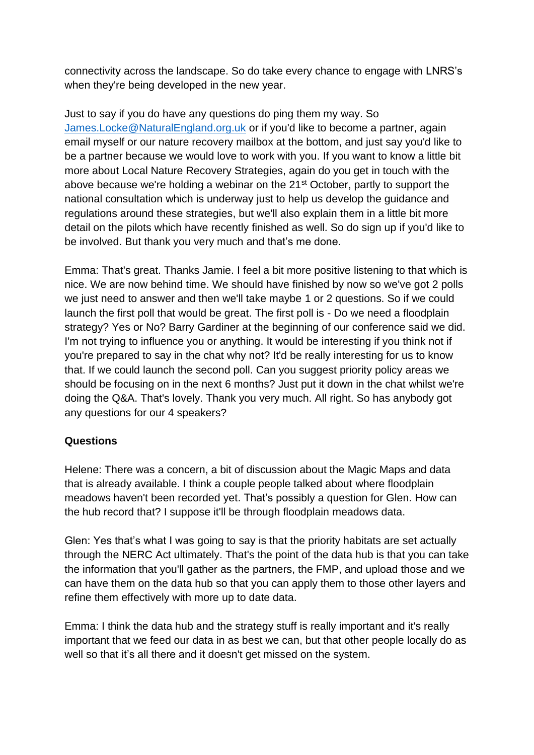connectivity across the landscape. So do take every chance to engage with LNRS's when they're being developed in the new year.

Just to say if you do have any questions do ping them my way. So [James.Locke@NaturalEngland.org.uk](mailto:James.Locke@NaturalEngland.org.uk) or if you'd like to become a partner, again email myself or our nature recovery mailbox at the bottom, and just say you'd like to be a partner because we would love to work with you. If you want to know a little bit more about Local Nature Recovery Strategies, again do you get in touch with the above because we're holding a webinar on the 21<sup>st</sup> October, partly to support the national consultation which is underway just to help us develop the guidance and regulations around these strategies, but we'll also explain them in a little bit more detail on the pilots which have recently finished as well. So do sign up if you'd like to be involved. But thank you very much and that's me done.

Emma: That's great. Thanks Jamie. I feel a bit more positive listening to that which is nice. We are now behind time. We should have finished by now so we've got 2 polls we just need to answer and then we'll take maybe 1 or 2 questions. So if we could launch the first poll that would be great. The first poll is - Do we need a floodplain strategy? Yes or No? Barry Gardiner at the beginning of our conference said we did. I'm not trying to influence you or anything. It would be interesting if you think not if you're prepared to say in the chat why not? It'd be really interesting for us to know that. If we could launch the second poll. Can you suggest priority policy areas we should be focusing on in the next 6 months? Just put it down in the chat whilst we're doing the Q&A. That's lovely. Thank you very much. All right. So has anybody got any questions for our 4 speakers?

# **Questions**

Helene: There was a concern, a bit of discussion about the Magic Maps and data that is already available. I think a couple people talked about where floodplain meadows haven't been recorded yet. That's possibly a question for Glen. How can the hub record that? I suppose it'll be through floodplain meadows data.

Glen: Yes that's what I was going to say is that the priority habitats are set actually through the NERC Act ultimately. That's the point of the data hub is that you can take the information that you'll gather as the partners, the FMP, and upload those and we can have them on the data hub so that you can apply them to those other layers and refine them effectively with more up to date data.

Emma: I think the data hub and the strategy stuff is really important and it's really important that we feed our data in as best we can, but that other people locally do as well so that it's all there and it doesn't get missed on the system.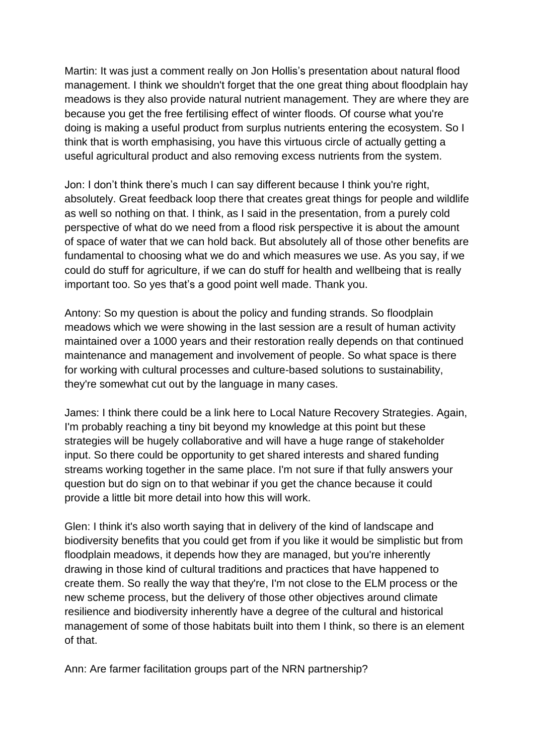Martin: It was just a comment really on Jon Hollis's presentation about natural flood management. I think we shouldn't forget that the one great thing about floodplain hay meadows is they also provide natural nutrient management. They are where they are because you get the free fertilising effect of winter floods. Of course what you're doing is making a useful product from surplus nutrients entering the ecosystem. So I think that is worth emphasising, you have this virtuous circle of actually getting a useful agricultural product and also removing excess nutrients from the system.

Jon: I don't think there's much I can say different because I think you're right, absolutely. Great feedback loop there that creates great things for people and wildlife as well so nothing on that. I think, as I said in the presentation, from a purely cold perspective of what do we need from a flood risk perspective it is about the amount of space of water that we can hold back. But absolutely all of those other benefits are fundamental to choosing what we do and which measures we use. As you say, if we could do stuff for agriculture, if we can do stuff for health and wellbeing that is really important too. So yes that's a good point well made. Thank you.

Antony: So my question is about the policy and funding strands. So floodplain meadows which we were showing in the last session are a result of human activity maintained over a 1000 years and their restoration really depends on that continued maintenance and management and involvement of people. So what space is there for working with cultural processes and culture-based solutions to sustainability, they're somewhat cut out by the language in many cases.

James: I think there could be a link here to Local Nature Recovery Strategies. Again, I'm probably reaching a tiny bit beyond my knowledge at this point but these strategies will be hugely collaborative and will have a huge range of stakeholder input. So there could be opportunity to get shared interests and shared funding streams working together in the same place. I'm not sure if that fully answers your question but do sign on to that webinar if you get the chance because it could provide a little bit more detail into how this will work.

Glen: I think it's also worth saying that in delivery of the kind of landscape and biodiversity benefits that you could get from if you like it would be simplistic but from floodplain meadows, it depends how they are managed, but you're inherently drawing in those kind of cultural traditions and practices that have happened to create them. So really the way that they're, I'm not close to the ELM process or the new scheme process, but the delivery of those other objectives around climate resilience and biodiversity inherently have a degree of the cultural and historical management of some of those habitats built into them I think, so there is an element of that.

Ann: Are farmer facilitation groups part of the NRN partnership?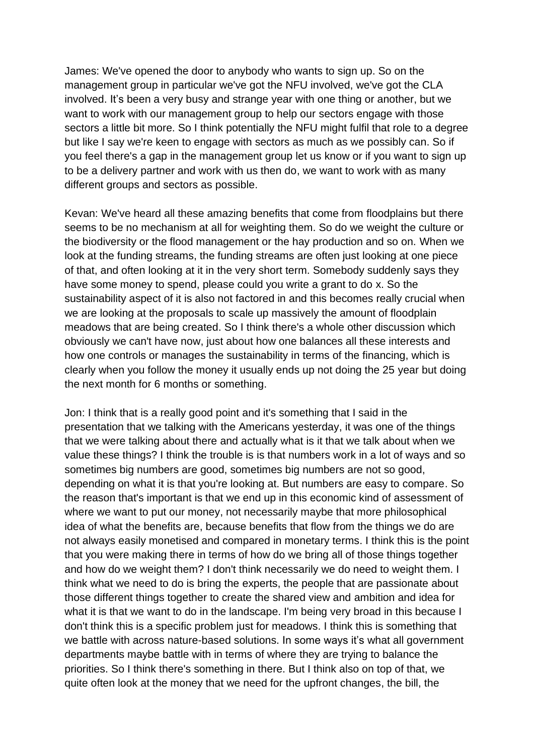James: We've opened the door to anybody who wants to sign up. So on the management group in particular we've got the NFU involved, we've got the CLA involved. It's been a very busy and strange year with one thing or another, but we want to work with our management group to help our sectors engage with those sectors a little bit more. So I think potentially the NFU might fulfil that role to a degree but like I say we're keen to engage with sectors as much as we possibly can. So if you feel there's a gap in the management group let us know or if you want to sign up to be a delivery partner and work with us then do, we want to work with as many different groups and sectors as possible.

Kevan: We've heard all these amazing benefits that come from floodplains but there seems to be no mechanism at all for weighting them. So do we weight the culture or the biodiversity or the flood management or the hay production and so on. When we look at the funding streams, the funding streams are often just looking at one piece of that, and often looking at it in the very short term. Somebody suddenly says they have some money to spend, please could you write a grant to do x. So the sustainability aspect of it is also not factored in and this becomes really crucial when we are looking at the proposals to scale up massively the amount of floodplain meadows that are being created. So I think there's a whole other discussion which obviously we can't have now, just about how one balances all these interests and how one controls or manages the sustainability in terms of the financing, which is clearly when you follow the money it usually ends up not doing the 25 year but doing the next month for 6 months or something.

Jon: I think that is a really good point and it's something that I said in the presentation that we talking with the Americans yesterday, it was one of the things that we were talking about there and actually what is it that we talk about when we value these things? I think the trouble is is that numbers work in a lot of ways and so sometimes big numbers are good, sometimes big numbers are not so good, depending on what it is that you're looking at. But numbers are easy to compare. So the reason that's important is that we end up in this economic kind of assessment of where we want to put our money, not necessarily maybe that more philosophical idea of what the benefits are, because benefits that flow from the things we do are not always easily monetised and compared in monetary terms. I think this is the point that you were making there in terms of how do we bring all of those things together and how do we weight them? I don't think necessarily we do need to weight them. I think what we need to do is bring the experts, the people that are passionate about those different things together to create the shared view and ambition and idea for what it is that we want to do in the landscape. I'm being very broad in this because I don't think this is a specific problem just for meadows. I think this is something that we battle with across nature-based solutions. In some ways it's what all government departments maybe battle with in terms of where they are trying to balance the priorities. So I think there's something in there. But I think also on top of that, we quite often look at the money that we need for the upfront changes, the bill, the